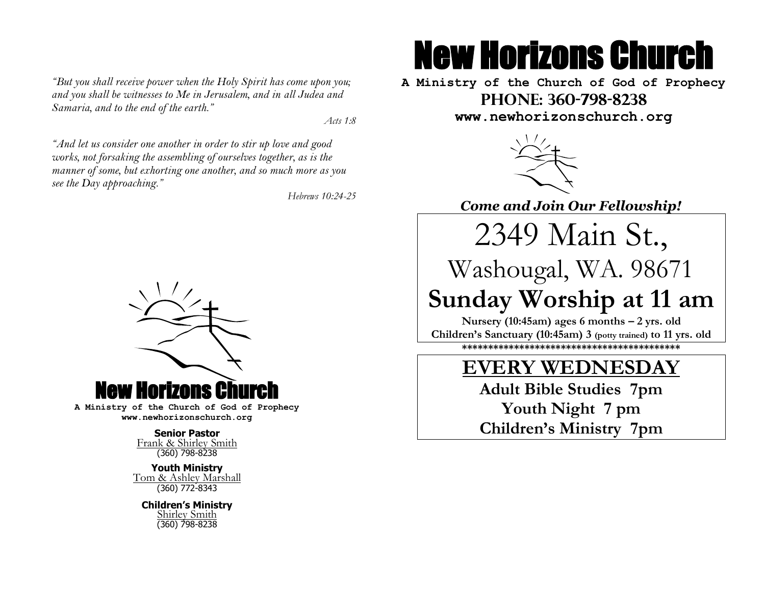*"But you shall receive power when the Holy Spirit has come upon you; and you shall be witnesses to Me in Jerusalem, and in all Judea and Samaria, and to the end of the earth."*

 *Acts 1:8*

*"And let us consider one another in order to stir up love and good works, not forsaking the assembling of ourselves together, as is the manner of some, but exhorting one another, and so much more as you see the Day approaching."*

*Hebrews 10:24-25*



**A Ministry of the Church of God of Prophecy www.newhorizonschurch.org**

> **Senior Pastor** Frank & Shirley Smith (360) 798-8238

**Youth Ministry** Tom & Ashley Marshall (360) 772-8343

**Children's Ministry** Shirley Smith (360) 798-8238

# New Horizons Church

**A Ministry of the Church of God of Prophecy Phone: 360-798-8238 www.newhorizonschurch.org**



*Come and Join Our Fellowship!*

2349 Main St.,

Washougal, WA. 98671

**Sunday Worship at 11 am Nursery (10:45am) ages 6 months – 2 yrs. old Children's Sanctuary (10:45am) 3 (potty trained) to 11 yrs. old \*\*\*\*\*\*\*\*\*\*\*\*\*\*\*\*\*\*\*\*\*\*\*\*\*\*\*\*\*\*\*\*\*\*\*\*\*\*\*\*\*\***

### **EVERY WEDNESDAY**

**Adult Bible Studies 7pm Youth Night 7 pm Children's Ministry 7pm**